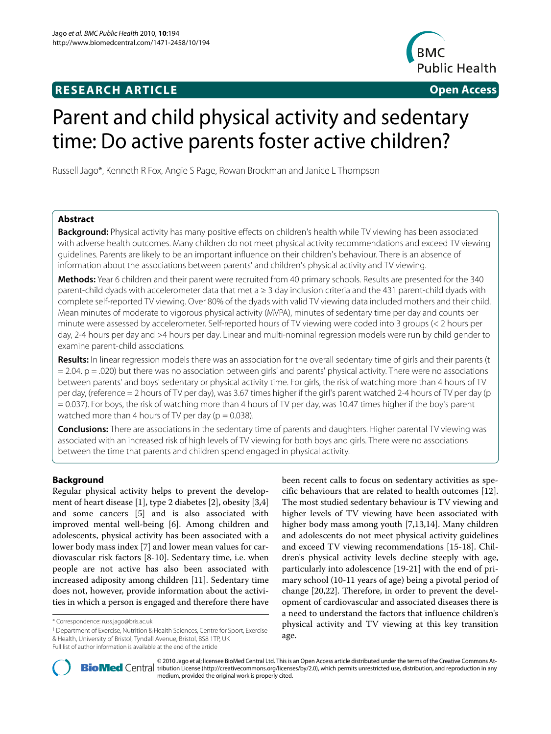## **RESEARCH ARTICLE Open Access**



# Parent and child physical activity and sedentary time: Do active parents foster active children?

Russell Jago\*, Kenneth R Fox, Angie S Page, Rowan Brockman and Janice L Thompson

## **Abstract**

**Background:** Physical activity has many positive effects on children's health while TV viewing has been associated with adverse health outcomes. Many children do not meet physical activity recommendations and exceed TV viewing guidelines. Parents are likely to be an important influence on their children's behaviour. There is an absence of information about the associations between parents' and children's physical activity and TV viewing.

**Methods:** Year 6 children and their parent were recruited from 40 primary schools. Results are presented for the 340 parent-child dyads with accelerometer data that met a ≥ 3 day inclusion criteria and the 431 parent-child dyads with complete self-reported TV viewing. Over 80% of the dyads with valid TV viewing data included mothers and their child. Mean minutes of moderate to vigorous physical activity (MVPA), minutes of sedentary time per day and counts per minute were assessed by accelerometer. Self-reported hours of TV viewing were coded into 3 groups (< 2 hours per day, 2-4 hours per day and >4 hours per day. Linear and multi-nominal regression models were run by child gender to examine parent-child associations.

**Results:** In linear regression models there was an association for the overall sedentary time of girls and their parents (t  $= 2.04$ . p  $= .020$ ) but there was no association between girls' and parents' physical activity. There were no associations between parents' and boys' sedentary or physical activity time. For girls, the risk of watching more than 4 hours of TV per day, (reference = 2 hours of TV per day), was 3.67 times higher if the girl's parent watched 2-4 hours of TV per day (p = 0.037). For boys, the risk of watching more than 4 hours of TV per day, was 10.47 times higher if the boy's parent watched more than 4 hours of TV per day ( $p = 0.038$ ).

**Conclusions:** There are associations in the sedentary time of parents and daughters. Higher parental TV viewing was associated with an increased risk of high levels of TV viewing for both boys and girls. There were no associations between the time that parents and children spend engaged in physical activity.

## **Background**

Regular physical activity helps to prevent the development of heart disease [\[1](#page-7-0)], type 2 diabetes [\[2](#page-7-1)], obesity [\[3](#page-7-2)[,4](#page-7-3)] and some cancers [[5\]](#page-7-4) and is also associated with improved mental well-being [\[6](#page-7-5)]. Among children and adolescents, physical activity has been associated with a lower body mass index [[7\]](#page-7-6) and lower mean values for cardiovascular risk factors [[8-](#page-7-7)[10](#page-7-8)]. Sedentary time, i.e. when people are not active has also been associated with increased adiposity among children [[11\]](#page-7-9). Sedentary time does not, however, provide information about the activities in which a person is engaged and therefore there have

been recent calls to focus on sedentary activities as specific behaviours that are related to health outcomes [\[12](#page-7-10)]. The most studied sedentary behaviour is TV viewing and higher levels of TV viewing have been associated with higher body mass among youth [\[7](#page-7-6)[,13](#page-7-11)[,14](#page-7-12)]. Many children and adolescents do not meet physical activity guidelines and exceed TV viewing recommendations [[15-](#page-7-13)[18](#page-7-14)]. Children's physical activity levels decline steeply with age, particularly into adolescence [[19](#page-7-15)-[21\]](#page-8-0) with the end of primary school (10-11 years of age) being a pivotal period of change [[20,](#page-7-16)[22\]](#page-8-1). Therefore, in order to prevent the development of cardiovascular and associated diseases there is a need to understand the factors that influence children's physical activity and TV viewing at this key transition age.



© 2010 Jago et al; licensee [BioMed](http://www.biomedcentral.com/) Central Ltd. This is an Open Access article distributed under the terms of the Creative Commons At-<br>Bio Med Central tribution License (http://creativecommons.org/licenses/by/2.0), which medium, provided the original work is properly cited.

<sup>\*</sup> Correspondence: russ.jago@bris.ac.uk

<sup>1</sup> Department of Exercise, Nutrition & Health Sciences, Centre for Sport, Exercise & Health, University of Bristol, Tyndall Avenue, Bristol, BS8 1TP, UK

Full list of author information is available at the end of the article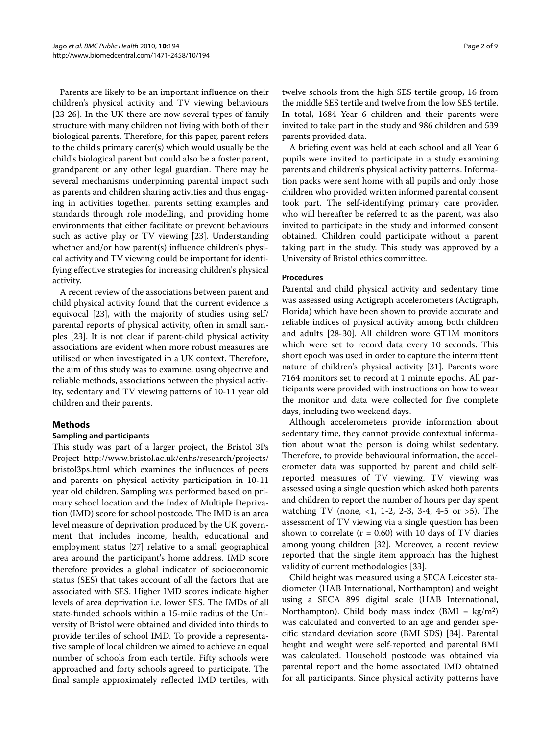Parents are likely to be an important influence on their children's physical activity and TV viewing behaviours [[23-](#page-8-2)[26](#page-8-3)]. In the UK there are now several types of family structure with many children not living with both of their biological parents. Therefore, for this paper, parent refers to the child's primary carer(s) which would usually be the child's biological parent but could also be a foster parent, grandparent or any other legal guardian. There may be several mechanisms underpinning parental impact such as parents and children sharing activities and thus engaging in activities together, parents setting examples and standards through role modelling, and providing home environments that either facilitate or prevent behaviours such as active play or TV viewing [\[23](#page-8-2)]. Understanding whether and/or how parent(s) influence children's physical activity and TV viewing could be important for identifying effective strategies for increasing children's physical activity.

A recent review of the associations between parent and child physical activity found that the current evidence is equivocal [\[23](#page-8-2)], with the majority of studies using self/ parental reports of physical activity, often in small samples [[23\]](#page-8-2). It is not clear if parent-child physical activity associations are evident when more robust measures are utilised or when investigated in a UK context. Therefore, the aim of this study was to examine, using objective and reliable methods, associations between the physical activity, sedentary and TV viewing patterns of 10-11 year old children and their parents.

## **Methods**

## **Sampling and participants**

This study was part of a larger project, the Bristol 3Ps Project [http://www.bristol.ac.uk/enhs/research/projects/](http://www.bristol.ac.uk/enhs/research/projects/bristol3ps.html) [bristol3ps.html](http://www.bristol.ac.uk/enhs/research/projects/bristol3ps.html) which examines the influences of peers and parents on physical activity participation in 10-11 year old children. Sampling was performed based on primary school location and the Index of Multiple Deprivation (IMD) score for school postcode. The IMD is an area level measure of deprivation produced by the UK government that includes income, health, educational and employment status [\[27](#page-8-4)] relative to a small geographical area around the participant's home address. IMD score therefore provides a global indicator of socioeconomic status (SES) that takes account of all the factors that are associated with SES. Higher IMD scores indicate higher levels of area deprivation i.e. lower SES. The IMDs of all state-funded schools within a 15-mile radius of the University of Bristol were obtained and divided into thirds to provide tertiles of school IMD. To provide a representative sample of local children we aimed to achieve an equal number of schools from each tertile. Fifty schools were approached and forty schools agreed to participate. The final sample approximately reflected IMD tertiles, with twelve schools from the high SES tertile group, 16 from the middle SES tertile and twelve from the low SES tertile. In total, 1684 Year 6 children and their parents were invited to take part in the study and 986 children and 539 parents provided data.

A briefing event was held at each school and all Year 6 pupils were invited to participate in a study examining parents and children's physical activity patterns. Information packs were sent home with all pupils and only those children who provided written informed parental consent took part. The self-identifying primary care provider, who will hereafter be referred to as the parent, was also invited to participate in the study and informed consent obtained. Children could participate without a parent taking part in the study. This study was approved by a University of Bristol ethics committee.

## **Procedures**

Parental and child physical activity and sedentary time was assessed using Actigraph accelerometers (Actigraph, Florida) which have been shown to provide accurate and reliable indices of physical activity among both children and adults [[28](#page-8-5)[-30\]](#page-8-6). All children wore GT1M monitors which were set to record data every 10 seconds. This short epoch was used in order to capture the intermittent nature of children's physical activity [\[31](#page-8-7)]. Parents wore 7164 monitors set to record at 1 minute epochs. All participants were provided with instructions on how to wear the monitor and data were collected for five complete days, including two weekend days.

Although accelerometers provide information about sedentary time, they cannot provide contextual information about what the person is doing whilst sedentary. Therefore, to provide behavioural information, the accelerometer data was supported by parent and child selfreported measures of TV viewing. TV viewing was assessed using a single question which asked both parents and children to report the number of hours per day spent watching TV (none, <1, 1-2, 2-3, 3-4, 4-5 or >5). The assessment of TV viewing via a single question has been shown to correlate  $(r = 0.60)$  with 10 days of TV diaries among young children [\[32](#page-8-8)]. Moreover, a recent review reported that the single item approach has the highest validity of current methodologies [\[33\]](#page-8-9).

Child height was measured using a SECA Leicester stadiometer (HAB International, Northampton) and weight using a SECA 899 digital scale (HAB International, Northampton). Child body mass index  $(BMI = kg/m<sup>2</sup>)$ was calculated and converted to an age and gender specific standard deviation score (BMI SDS) [[34](#page-8-10)]. Parental height and weight were self-reported and parental BMI was calculated. Household postcode was obtained via parental report and the home associated IMD obtained for all participants. Since physical activity patterns have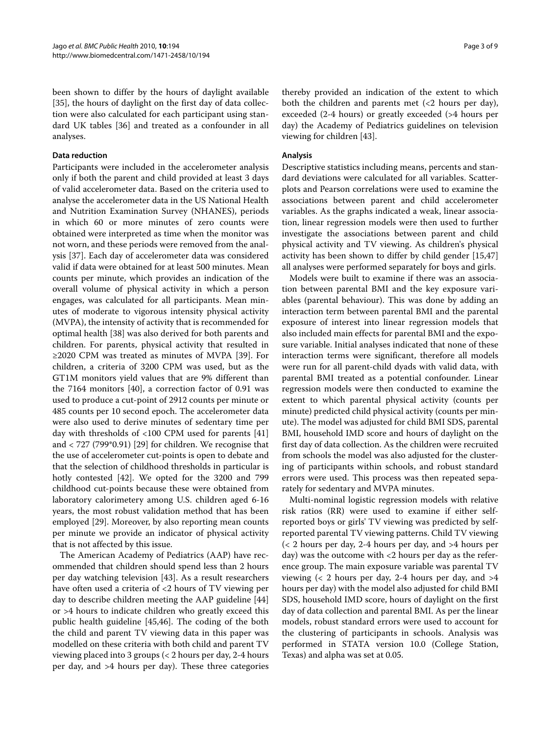been shown to differ by the hours of daylight available [[35\]](#page-8-11), the hours of daylight on the first day of data collection were also calculated for each participant using standard UK tables [[36\]](#page-8-12) and treated as a confounder in all analyses.

#### **Data reduction**

Participants were included in the accelerometer analysis only if both the parent and child provided at least 3 days of valid accelerometer data. Based on the criteria used to analyse the accelerometer data in the US National Health and Nutrition Examination Survey (NHANES), periods in which 60 or more minutes of zero counts were obtained were interpreted as time when the monitor was not worn, and these periods were removed from the analysis [[37](#page-8-13)]. Each day of accelerometer data was considered valid if data were obtained for at least 500 minutes. Mean counts per minute, which provides an indication of the overall volume of physical activity in which a person engages, was calculated for all participants. Mean minutes of moderate to vigorous intensity physical activity (MVPA), the intensity of activity that is recommended for optimal health [[38\]](#page-8-14) was also derived for both parents and children. For parents, physical activity that resulted in ≥2020 CPM was treated as minutes of MVPA [[39\]](#page-8-15). For children, a criteria of 3200 CPM was used, but as the GT1M monitors yield values that are 9% different than the 7164 monitors [\[40\]](#page-8-16), a correction factor of 0.91 was used to produce a cut-point of 2912 counts per minute or 485 counts per 10 second epoch. The accelerometer data were also used to derive minutes of sedentary time per day with thresholds of <100 CPM used for parents [[41](#page-8-17)] and < 727 (799\*0.91) [\[29](#page-8-18)] for children. We recognise that the use of accelerometer cut-points is open to debate and that the selection of childhood thresholds in particular is hotly contested [[42\]](#page-8-19). We opted for the 3200 and 799 childhood cut-points because these were obtained from laboratory calorimetery among U.S. children aged 6-16 years, the most robust validation method that has been employed [\[29](#page-8-18)]. Moreover, by also reporting mean counts per minute we provide an indicator of physical activity that is not affected by this issue.

The American Academy of Pediatrics (AAP) have recommended that children should spend less than 2 hours per day watching television [[43\]](#page-8-20). As a result researchers have often used a criteria of <2 hours of TV viewing per day to describe children meeting the AAP guideline [[44](#page-8-21)] or >4 hours to indicate children who greatly exceed this public health guideline [[45,](#page-8-22)[46\]](#page-8-23). The coding of the both the child and parent TV viewing data in this paper was modelled on these criteria with both child and parent TV viewing placed into 3 groups (< 2 hours per day, 2-4 hours per day, and >4 hours per day). These three categories

thereby provided an indication of the extent to which both the children and parents met  $( $2$  hours per day),$ exceeded (2-4 hours) or greatly exceeded (>4 hours per day) the Academy of Pediatrics guidelines on television viewing for children [\[43](#page-8-20)].

#### **Analysis**

Descriptive statistics including means, percents and standard deviations were calculated for all variables. Scatterplots and Pearson correlations were used to examine the associations between parent and child accelerometer variables. As the graphs indicated a weak, linear association, linear regression models were then used to further investigate the associations between parent and child physical activity and TV viewing. As children's physical activity has been shown to differ by child gender [\[15](#page-7-13),[47](#page-8-24)] all analyses were performed separately for boys and girls.

Models were built to examine if there was an association between parental BMI and the key exposure variables (parental behaviour). This was done by adding an interaction term between parental BMI and the parental exposure of interest into linear regression models that also included main effects for parental BMI and the exposure variable. Initial analyses indicated that none of these interaction terms were significant, therefore all models were run for all parent-child dyads with valid data, with parental BMI treated as a potential confounder. Linear regression models were then conducted to examine the extent to which parental physical activity (counts per minute) predicted child physical activity (counts per minute). The model was adjusted for child BMI SDS, parental BMI, household IMD score and hours of daylight on the first day of data collection. As the children were recruited from schools the model was also adjusted for the clustering of participants within schools, and robust standard errors were used. This process was then repeated separately for sedentary and MVPA minutes.

Multi-nominal logistic regression models with relative risk ratios (RR) were used to examine if either selfreported boys or girls' TV viewing was predicted by selfreported parental TV viewing patterns. Child TV viewing (< 2 hours per day, 2-4 hours per day, and >4 hours per day) was the outcome with  $\langle 2 \text{ hours per day as the refer-}$ ence group. The main exposure variable was parental TV viewing  $\langle$  2 hours per day, 2-4 hours per day, and  $>4$ hours per day) with the model also adjusted for child BMI SDS, household IMD score, hours of daylight on the first day of data collection and parental BMI. As per the linear models, robust standard errors were used to account for the clustering of participants in schools. Analysis was performed in STATA version 10.0 (College Station, Texas) and alpha was set at 0.05.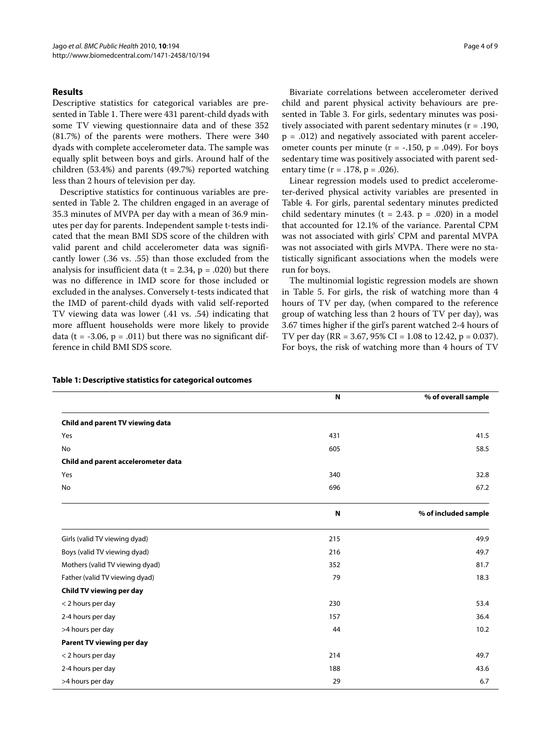## **Results**

Descriptive statistics for categorical variables are presented in Table 1. There were 431 parent-child dyads with some TV viewing questionnaire data and of these 352 (81.7%) of the parents were mothers. There were 340 dyads with complete accelerometer data. The sample was equally split between boys and girls. Around half of the children (53.4%) and parents (49.7%) reported watching less than 2 hours of television per day.

Descriptive statistics for continuous variables are presented in Table [2](#page-4-0). The children engaged in an average of 35.3 minutes of MVPA per day with a mean of 36.9 minutes per day for parents. Independent sample t-tests indicated that the mean BMI SDS score of the children with valid parent and child accelerometer data was significantly lower (.36 vs. .55) than those excluded from the analysis for insufficient data ( $t = 2.34$ ,  $p = .020$ ) but there was no difference in IMD score for those included or excluded in the analyses. Conversely t-tests indicated that the IMD of parent-child dyads with valid self-reported TV viewing data was lower (.41 vs. .54) indicating that more affluent households were more likely to provide data (t =  $-3.06$ , p =  $.011$ ) but there was no significant difference in child BMI SDS score.

Bivariate correlations between accelerometer derived child and parent physical activity behaviours are presented in Table 3. For girls, sedentary minutes was positively associated with parent sedentary minutes ( $r = .190$ ,  $p = .012$ ) and negatively associated with parent accelerometer counts per minute ( $r = -.150$ ,  $p = .049$ ). For boys sedentary time was positively associated with parent sedentary time  $(r = .178, p = .026)$ .

Linear regression models used to predict accelerometer-derived physical activity variables are presented in Table [4](#page-5-0). For girls, parental sedentary minutes predicted child sedentary minutes ( $t = 2.43$ .  $p = .020$ ) in a model that accounted for 12.1% of the variance. Parental CPM was not associated with girls' CPM and parental MVPA was not associated with girls MVPA. There were no statistically significant associations when the models were run for boys.

The multinomial logistic regression models are shown in Table 5. For girls, the risk of watching more than 4 hours of TV per day, (when compared to the reference group of watching less than 2 hours of TV per day), was 3.67 times higher if the girl's parent watched 2-4 hours of TV per day (RR = 3.67, 95% CI = 1.08 to 12.42, p = 0.037). For boys, the risk of watching more than 4 hours of TV

|                                     | N   | % of overall sample  |
|-------------------------------------|-----|----------------------|
| Child and parent TV viewing data    |     |                      |
| Yes                                 | 431 | 41.5                 |
| No                                  | 605 | 58.5                 |
| Child and parent accelerometer data |     |                      |
| Yes                                 | 340 | 32.8                 |
| No                                  | 696 | 67.2                 |
|                                     | N   | % of included sample |
| Girls (valid TV viewing dyad)       | 215 | 49.9                 |
| Boys (valid TV viewing dyad)        | 216 | 49.7                 |
| Mothers (valid TV viewing dyad)     | 352 | 81.7                 |
| Father (valid TV viewing dyad)      | 79  | 18.3                 |
| Child TV viewing per day            |     |                      |
| < 2 hours per day                   | 230 | 53.4                 |
| 2-4 hours per day                   | 157 | 36.4                 |
| >4 hours per day                    | 44  | 10.2                 |
| Parent TV viewing per day           |     |                      |
| < 2 hours per day                   | 214 | 49.7                 |
| 2-4 hours per day                   | 188 | 43.6                 |
| >4 hours per day                    | 29  | 6.7                  |

#### **Table 1: Descriptive statistics for categorical outcomes**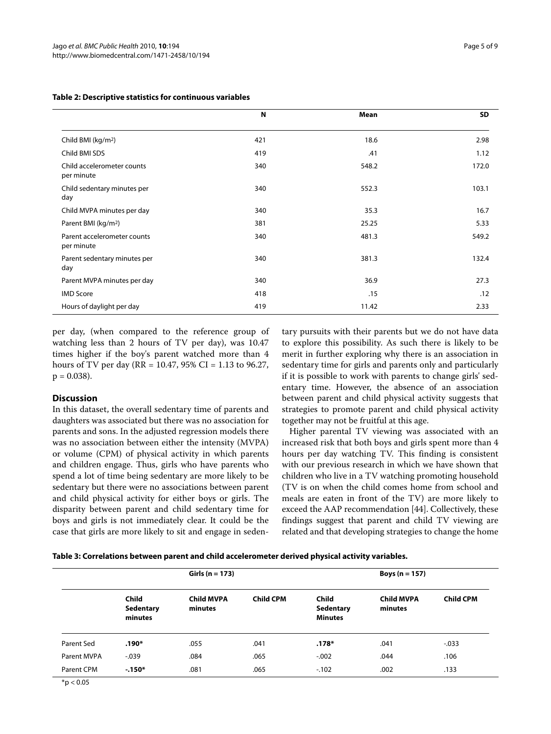#### <span id="page-4-0"></span>**Table 2: Descriptive statistics for continuous variables**

|                                           | N   | Mean  | <b>SD</b> |
|-------------------------------------------|-----|-------|-----------|
| Child BMI (kg/m <sup>2</sup> )            | 421 | 18.6  | 2.98      |
| Child BMI SDS                             | 419 | .41   | 1.12      |
| Child accelerometer counts<br>per minute  | 340 | 548.2 | 172.0     |
| Child sedentary minutes per<br>day        | 340 | 552.3 | 103.1     |
| Child MVPA minutes per day                | 340 | 35.3  | 16.7      |
| Parent BMI (kg/m <sup>2</sup> )           | 381 | 25.25 | 5.33      |
| Parent accelerometer counts<br>per minute | 340 | 481.3 | 549.2     |
| Parent sedentary minutes per<br>day       | 340 | 381.3 | 132.4     |
| Parent MVPA minutes per day               | 340 | 36.9  | 27.3      |
| <b>IMD Score</b>                          | 418 | .15   | .12       |
| Hours of daylight per day                 | 419 | 11.42 | 2.33      |

per day, (when compared to the reference group of watching less than 2 hours of TV per day), was 10.47 times higher if the boy's parent watched more than 4 hours of TV per day (RR = 10.47, 95% CI = 1.13 to 96.27,  $p = 0.038$ ).

### **Discussion**

In this dataset, the overall sedentary time of parents and daughters was associated but there was no association for parents and sons. In the adjusted regression models there was no association between either the intensity (MVPA) or volume (CPM) of physical activity in which parents and children engage. Thus, girls who have parents who spend a lot of time being sedentary are more likely to be sedentary but there were no associations between parent and child physical activity for either boys or girls. The disparity between parent and child sedentary time for boys and girls is not immediately clear. It could be the case that girls are more likely to sit and engage in seden-

tary pursuits with their parents but we do not have data to explore this possibility. As such there is likely to be merit in further exploring why there is an association in sedentary time for girls and parents only and particularly if it is possible to work with parents to change girls' sedentary time. However, the absence of an association between parent and child physical activity suggests that strategies to promote parent and child physical activity together may not be fruitful at this age.

Higher parental TV viewing was associated with an increased risk that both boys and girls spent more than 4 hours per day watching TV. This finding is consistent with our previous research in which we have shown that children who live in a TV watching promoting household (TV is on when the child comes home from school and meals are eaten in front of the TV) are more likely to exceed the AAP recommendation [[44\]](#page-8-21). Collectively, these findings suggest that parent and child TV viewing are related and that developing strategies to change the home

#### **Table 3: Correlations between parent and child accelerometer derived physical activity variables.**

|             |                                      | Girls ( $n = 173$ )          |                  |                                                    | Boys ( $n = 157$ )           |                  |
|-------------|--------------------------------------|------------------------------|------------------|----------------------------------------------------|------------------------------|------------------|
|             | <b>Child</b><br>Sedentary<br>minutes | <b>Child MVPA</b><br>minutes | <b>Child CPM</b> | <b>Child</b><br><b>Sedentary</b><br><b>Minutes</b> | <b>Child MVPA</b><br>minutes | <b>Child CPM</b> |
| Parent Sed  | $.190*$                              | .055                         | .041             | $.178*$                                            | .041                         | $-.033$          |
| Parent MVPA | $-0.039$                             | .084                         | .065             | $-.002$                                            | .044                         | .106             |
| Parent CPM  | $-.150*$                             | .081                         | .065             | $-102$                                             | .002                         | .133             |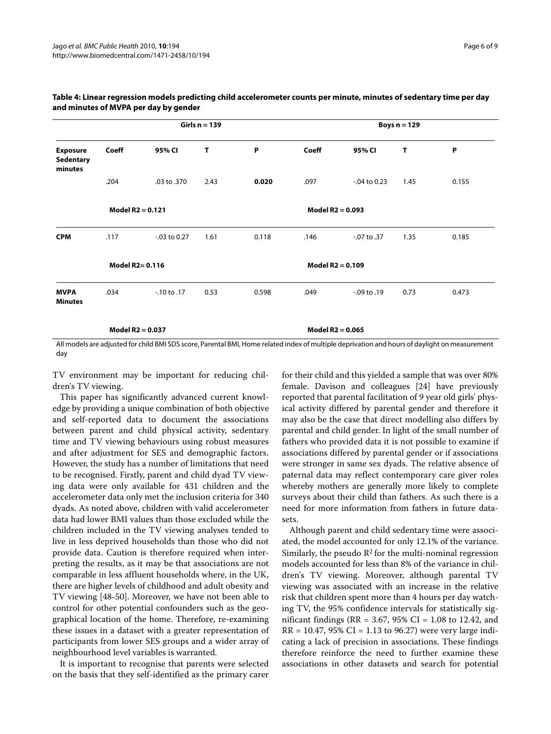|                                                | Girls $n = 139$    |                |      |       | Boys $n = 129$     |                  |      |       |
|------------------------------------------------|--------------------|----------------|------|-------|--------------------|------------------|------|-------|
| <b>Exposure</b><br><b>Sedentary</b><br>minutes | Coeff              | 95% CI         | т    | P     | Coeff              | 95% CI           | Т    | P     |
|                                                | .204               | .03 to .370    | 2.43 | 0.020 | .097               | $-0.04$ to 0.23  | 1.45 | 0.155 |
|                                                | Model $R2 = 0.121$ |                |      |       | Model $R2 = 0.093$ |                  |      |       |
| <b>CPM</b>                                     | .117               | $-.03$ to 0.27 | 1.61 | 0.118 | .146               | $-07$ to $.37$   | 1.35 | 0.185 |
|                                                | Model R2= 0.116    |                |      |       | Model $R2 = 0.109$ |                  |      |       |
| <b>MVPA</b><br><b>Minutes</b>                  | .034               | $-10$ to $.17$ | 0.53 | 0.598 | .049               | $-0.09$ to $.19$ | 0.73 | 0.473 |
|                                                | Model $R2 = 0.037$ |                |      |       | Model $R2 = 0.065$ |                  |      |       |

## <span id="page-5-0"></span>**Table 4: Linear regression models predicting child accelerometer counts per minute, minutes of sedentary time per day and minutes of MVPA per day by gender**

All models are adjusted for child BMI SDS score, Parental BMI, Home related index of multiple deprivation and hours of daylight on measurement day

TV environment may be important for reducing children's TV viewing.

This paper has significantly advanced current knowledge by providing a unique combination of both objective and self-reported data to document the associations between parent and child physical activity, sedentary time and TV viewing behaviours using robust measures and after adjustment for SES and demographic factors. However, the study has a number of limitations that need to be recognised. Firstly, parent and child dyad TV viewing data were only available for 431 children and the accelerometer data only met the inclusion criteria for 340 dyads. As noted above, children with valid accelerometer data had lower BMI values than those excluded while the children included in the TV viewing analyses tended to live in less deprived households than those who did not provide data. Caution is therefore required when interpreting the results, as it may be that associations are not comparable in less affluent households where, in the UK, there are higher levels of childhood and adult obesity and TV viewing [\[48](#page-8-25)[-50](#page-8-26)]. Moreover, we have not been able to control for other potential confounders such as the geographical location of the home. Therefore, re-examining these issues in a dataset with a greater representation of participants from lower SES groups and a wider array of neighbourhood level variables is warranted.

It is important to recognise that parents were selected on the basis that they self-identified as the primary carer for their child and this yielded a sample that was over 80% female. Davison and colleagues [\[24](#page-8-27)] have previously reported that parental facilitation of 9 year old girls' physical activity differed by parental gender and therefore it may also be the case that direct modelling also differs by parental and child gender. In light of the small number of fathers who provided data it is not possible to examine if associations differed by parental gender or if associations were stronger in same sex dyads. The relative absence of paternal data may reflect contemporary care giver roles whereby mothers are generally more likely to complete surveys about their child than fathers. As such there is a need for more information from fathers in future datasets.

Although parent and child sedentary time were associated, the model accounted for only 12.1% of the variance. Similarly, the pseudo  $R^2$  for the multi-nominal regression models accounted for less than 8% of the variance in children's TV viewing. Moreover, although parental TV viewing was associated with an increase in the relative risk that children spent more than 4 hours per day watching TV, the 95% confidence intervals for statistically significant findings (RR = 3.67, 95% CI = 1.08 to 12.42, and  $RR = 10.47, 95\% CI = 1.13$  to 96.27) were very large indicating a lack of precision in associations. These findings therefore reinforce the need to further examine these associations in other datasets and search for potential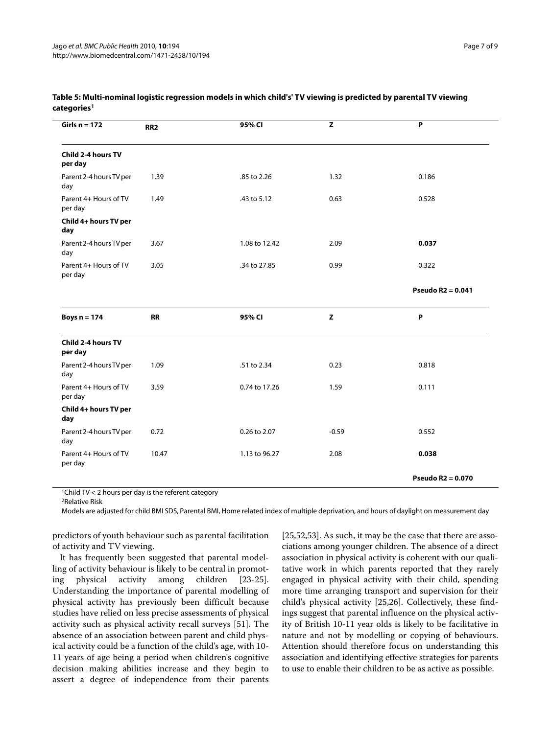| Girls $n = 172$                      | <b>RR2</b> | 95% CI        | z       | P                   |
|--------------------------------------|------------|---------------|---------|---------------------|
| <b>Child 2-4 hours TV</b><br>per day |            |               |         |                     |
| Parent 2-4 hours TV per<br>day       | 1.39       | .85 to 2.26   | 1.32    | 0.186               |
| Parent 4+ Hours of TV<br>per day     | 1.49       | .43 to 5.12   | 0.63    | 0.528               |
| Child 4+ hours TV per<br>day         |            |               |         |                     |
| Parent 2-4 hours TV per<br>day       | 3.67       | 1.08 to 12.42 | 2.09    | 0.037               |
| Parent 4+ Hours of TV<br>per day     | 3.05       | .34 to 27.85  | 0.99    | 0.322               |
|                                      |            |               |         | Pseudo $R2 = 0.041$ |
| Boys $n = 174$                       | RR         | 95% CI        | z       | P                   |
| Child 2-4 hours TV<br>per day        |            |               |         |                     |
| Parent 2-4 hours TV per<br>day       | 1.09       | .51 to 2.34   | 0.23    | 0.818               |
| Parent 4+ Hours of TV<br>per day     | 3.59       | 0.74 to 17.26 | 1.59    | 0.111               |
| Child 4+ hours TV per<br>day         |            |               |         |                     |
| Parent 2-4 hours TV per<br>day       | 0.72       | 0.26 to 2.07  | $-0.59$ | 0.552               |
| Parent 4+ Hours of TV<br>per day     | 10.47      | 1.13 to 96.27 | 2.08    | 0.038               |
|                                      |            |               |         | Pseudo $R2 = 0.070$ |

| Table 5: Multi-nominal logistic regression models in which child's' TV viewing is predicted by parental TV viewing |  |
|--------------------------------------------------------------------------------------------------------------------|--|
| categories <sup>1</sup>                                                                                            |  |

1Child TV < 2 hours per day is the referent category

2Relative Risk

Models are adjusted for child BMI SDS, Parental BMI, Home related index of multiple deprivation, and hours of daylight on measurement day

predictors of youth behaviour such as parental facilitation of activity and TV viewing.

It has frequently been suggested that parental modelling of activity behaviour is likely to be central in promoting physical activity among children [[23-](#page-8-2)[25](#page-8-28)]. Understanding the importance of parental modelling of physical activity has previously been difficult because studies have relied on less precise assessments of physical activity such as physical activity recall surveys [[51\]](#page-8-29). The absence of an association between parent and child physical activity could be a function of the child's age, with 10- 11 years of age being a period when children's cognitive decision making abilities increase and they begin to assert a degree of independence from their parents

[[25,](#page-8-28)[52,](#page-8-30)[53\]](#page-8-31). As such, it may be the case that there are associations among younger children. The absence of a direct association in physical activity is coherent with our qualitative work in which parents reported that they rarely engaged in physical activity with their child, spending more time arranging transport and supervision for their child's physical activity [\[25](#page-8-28)[,26](#page-8-3)]. Collectively, these findings suggest that parental influence on the physical activity of British 10-11 year olds is likely to be facilitative in nature and not by modelling or copying of behaviours. Attention should therefore focus on understanding this association and identifying effective strategies for parents to use to enable their children to be as active as possible.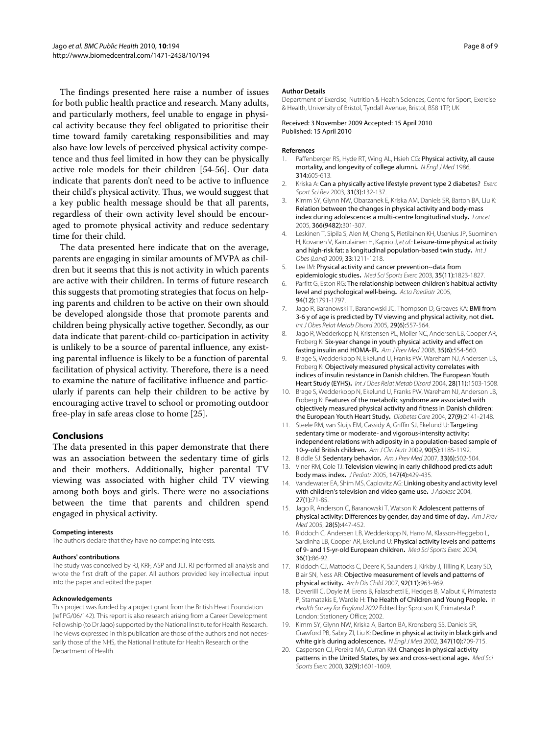The findings presented here raise a number of issues for both public health practice and research. Many adults, and particularly mothers, feel unable to engage in physical activity because they feel obligated to prioritise their time toward family caretaking responsibilities and may also have low levels of perceived physical activity competence and thus feel limited in how they can be physically active role models for their children [\[54-](#page-8-32)[56](#page-8-33)]. Our data indicate that parents don't need to be active to influence their child's physical activity. Thus, we would suggest that a key public health message should be that all parents, regardless of their own activity level should be encouraged to promote physical activity and reduce sedentary time for their child.

The data presented here indicate that on the average, parents are engaging in similar amounts of MVPA as children but it seems that this is not activity in which parents are active with their children. In terms of future research this suggests that promoting strategies that focus on helping parents and children to be active on their own should be developed alongside those that promote parents and children being physically active together. Secondly, as our data indicate that parent-child co-participation in activity is unlikely to be a source of parental influence, any existing parental influence is likely to be a function of parental facilitation of physical activity. Therefore, there is a need to examine the nature of facilitative influence and particularly if parents can help their children to be active by encouraging active travel to school or promoting outdoor free-play in safe areas close to home [[25\]](#page-8-28).

## **Conclusions**

The data presented in this paper demonstrate that there was an association between the sedentary time of girls and their mothers. Additionally, higher parental TV viewing was associated with higher child TV viewing among both boys and girls. There were no associations between the time that parents and children spend engaged in physical activity.

#### **Competing interests**

The authors declare that they have no competing interests.

#### **Authors' contributions**

The study was conceived by RJ, KRF, ASP and JLT. RJ performed all analysis and wrote the first draft of the paper. All authors provided key intellectual input into the paper and edited the paper.

#### **Acknowledgements**

This project was funded by a project grant from the British Heart Foundation (ref PG/06/142). This report is also research arising from a Career Development Fellowship (to Dr Jago) supported by the National Institute for Health Research. The views expressed in this publication are those of the authors and not necessarily those of the NHS, the National Institute for Health Research or the Department of Health.

#### **Author Details**

Department of Exercise, Nutrition & Health Sciences, Centre for Sport, Exercise & Health, University of Bristol, Tyndall Avenue, Bristol, BS8 1TP, UK

#### Received: 3 November 2009 Accepted: 15 April 2010 Published: 15 April 2010

#### **References**

- <span id="page-7-0"></span>Paffenberger RS, Hyde RT, Wing AL, Hsieh CG: Physical activity, all cause mortality, and longevity of college alumni**.** N Engl J Med 1986, 314:605-613.
- <span id="page-7-1"></span>2.Kriska A: Can a physically active lifestyle prevent type 2 diabetes? Exerc Sport Sci Rev 2003, 31(3):132-137.
- <span id="page-7-2"></span>3. Kimm SY, Glynn NW, Obarzanek E, Kriska AM, Daniels SR, Barton BA, Liu K: Relation between the changes in physical activity and body-mass index during adolescence: a multi-centre longitudinal study**[.](http://www.ncbi.nlm.nih.gov/entrez/query.fcgi?cmd=Retrieve&db=PubMed&dopt=Abstract&list_uids=16039332)** Lancet 2005, 366(9482):301-307.
- <span id="page-7-3"></span>4. Leskinen T, Sipila S, Alen M, Cheng S, Pietilainen KH, Usenius JP, Suominen H, Kovanen V, Kainulainen H, Kaprio J, et al.: Leisure-time physical activity and high-risk fat: a longitudinal population-based twin study**.** Int J Obes (Lond) 2009, 33:1211-1218.
- <span id="page-7-4"></span>5. Lee IM: Physical activity and cancer prevention--data from epidemiologic studies**.** Med Sci Sports Exerc 2003, 35(11):1823-1827.
- <span id="page-7-5"></span>6. Parfitt G, Eston RG: The relationship between children's habitual activity level and psychological well-being**.** Acta Paediatr 2005, 94(12):1791-1797.
- <span id="page-7-6"></span>7. Jago R, Baranowski T, Baranowski JC, Thompson D, Greaves KA: BMI from 3-6 y of age is predicted by TV viewing and physical activity, not diet**.** Int J Obes Relat Metab Disord 2005, 29(6):557-564.
- <span id="page-7-7"></span>8. Jago R, Wedderkopp N, Kristensen PL, Moller NC, Andersen LB, Cooper AR, Froberg K: Six-year change in youth physical activity and effect on fasting insulin and HOMA-IR**.** Am J Prev Med 2008, 35(6):554-560.
- 9. Brage S, Wedderkopp N, Ekelund U, Franks PW, Wareham NJ, Andersen LB, Froberg K: Objectively measured physical activity correlates with indices of insulin resistance in Danish children. The European Youth Heart Study (EYHS). Int J Obes Relat Metab Disord 2004, 28(11):1503-1508.
- <span id="page-7-8"></span>10. Brage S, Wedderkopp N, Ekelund U, Franks PW, Wareham NJ, Anderson LB, Froberg K: Features of the metabolic syndrome are associated with objectively measured physical activity and fitness in Danish children: the European Youth Heart Study**.** Diabetes Care 2004, 27(9):2141-2148.
- <span id="page-7-9"></span>11. Steele RM, van Sluijs EM, Cassidy A, Griffin SJ, Ekelund U: Targeting sedentary time or moderate- and vigorous-intensity activity: independent relations with adiposity in a population-based sample of 10-y-old British children**.** Am J Clin Nutr 2009, 90(5):1185-1192.
- <span id="page-7-10"></span>12. Biddle SJ: Sedentary behavior**.** Am J Prev Med 2007, 33(6):502-504.
- <span id="page-7-11"></span>13. Viner RM, Cole TJ: Television viewing in early childhood predicts adult body mass index**.** J Pediatr 2005, 147(4):429-435.
- <span id="page-7-12"></span>14. Vandewater EA, Shim MS, Caplovitz AG: Linking obesity and activity level with children's television and video game use**.** J Adolesc 2004, 27(1):71-85.
- <span id="page-7-13"></span>15. Jago R, Anderson C, Baranowski T, Watson K: Adolescent patterns of physical activity: Differences by gender, day and time of day**.** Am J Prev Med 2005, 28(5):447-452.
- 16. Riddoch C, Andersen LB, Wedderkopp N, Harro M, Klasson-Heggebo L, Sardinha LB, Cooper AR, Ekelund U: Physical activity levels and patterns of 9- and 15-yr-old European children**.** Med Sci Sports Exerc 2004, 36(1):86-92.
- 17. Riddoch CJ, Mattocks C, Deere K, Saunders J, Kirkby J, Tilling K, Leary SD, Blair SN, Ness AR: Objective measurement of levels and patterns of physical activity**.** Arch Dis Child 2007, 92(11):963-969.
- <span id="page-7-14"></span>18. Deveriill C, Doyle M, Erens B, Falaschetti E, Hedges B, Malbut K, Primatesta P, Stamatakis E, Wardle H: The Health of Children and Young People**.** In Health Survey for England 2002 Edited by: Sprotson K, Primatesta P. London: Stationery Office; 2002.
- <span id="page-7-15"></span>19. Kimm SY, Glynn NW, Kriska A, Barton BA, Kronsberg SS, Daniels SR, Crawford PB, Sabry ZI, Liu K: Decline in physical activity in black girls and white girls during adolescence**.** N Engl J Med 2002, 347(10):709-715.
- <span id="page-7-16"></span>20. Caspersen CJ, Pereira MA, Curran KM: Changes in physical activity patterns in the United States, by sex and cross-sectional age**.** Med Sci Sports Exerc 2000, 32(9):1601-1609.